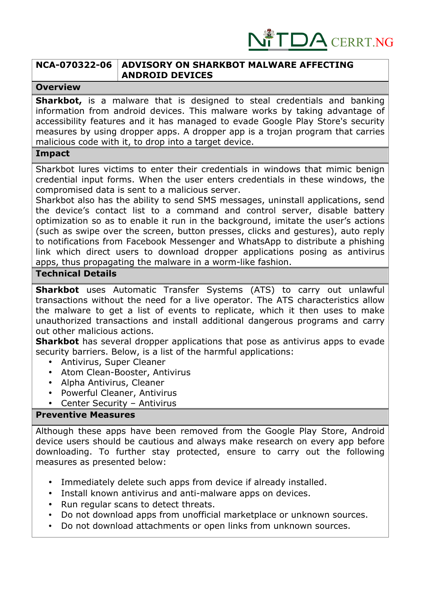

# **NCA-070322-06 ADVISORY ON SHARKBOT MALWARE AFFECTING ANDROID DEVICES**

### **Overview**

**Sharkbot,** is a malware that is designed to steal credentials and banking information from android devices. This malware works by taking advantage of accessibility features and it has managed to evade Google Play Store's security measures by using dropper apps. A dropper app is a trojan program that carries malicious code with it, to drop into a target device.

## **Impact**

Sharkbot lures victims to enter their credentials in windows that mimic benign credential input forms. When the user enters credentials in these windows, the compromised data is sent to a malicious server.

Sharkbot also has the ability to send SMS messages, uninstall applications, send the device's contact list to a command and control server, disable battery optimization so as to enable it run in the background, imitate the user's actions (such as swipe over the screen, button presses, clicks and gestures), auto reply to notifications from Facebook Messenger and WhatsApp to distribute a phishing link which direct users to download dropper applications posing as antivirus apps, thus propagating the malware in a worm-like fashion.

### **Technical Details**

**Sharkbot** uses Automatic Transfer Systems (ATS) to carry out unlawful transactions without the need for a live operator. The ATS characteristics allow the malware to get a list of events to replicate, which it then uses to make unauthorized transactions and install additional dangerous programs and carry out other malicious actions.

**Sharkbot** has several dropper applications that pose as antivirus apps to evade security barriers. Below, is a list of the harmful applications:

- Antivirus, Super Cleaner
- Atom Clean-Booster, Antivirus
- Alpha Antivirus, Cleaner
- Powerful Cleaner, Antivirus
- Center Security Antivirus

# **Preventive Measures**

Although these apps have been removed from the Google Play Store, Android device users should be cautious and always make research on every app before downloading. To further stay protected, ensure to carry out the following measures as presented below:

- Immediately delete such apps from device if already installed.
- Install known antivirus and anti-malware apps on devices.
- Run regular scans to detect threats.
- Do not download apps from unofficial marketplace or unknown sources.
- Do not download attachments or open links from unknown sources.